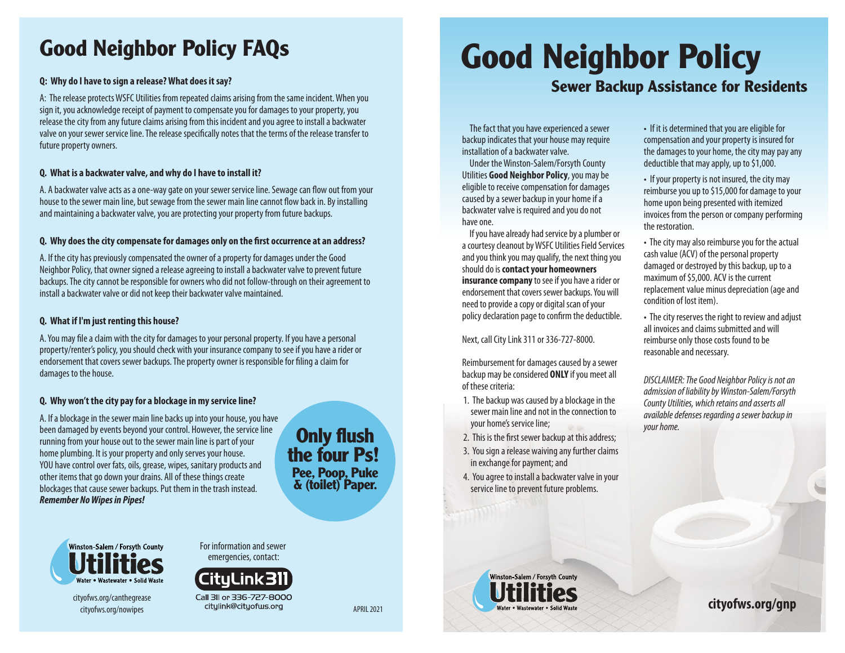## **Good Neighbor Policy FAQs**

#### **Q: Why do I have to sign a release? What does it say?**

A: The release protects WSFC Utilities from repeated claims arising from the same incident. When you sign it, you acknowledge receipt of payment to compensate you for damages to your property, you release the city from any future claims arising from this incident and you agree to install a backwater valve on your sewer service line. The release specifically notes that the terms of the release transfer to future property owners.

## **Q. What is a backwater valve, and why do I have to install it?**

A. A backwater valve acts as a one-way gate on your sewer service line. Sewage can flow out from your house to the sewer main line, but sewage from the sewer main line cannot flow back in. By installing and maintaining a backwater valve, you are protecting your property from future backups.

#### Q. Why does the city compensate for damages only on the first occurrence at an address?

A. If the city has previously compensated the owner of a property for damages under the Good Neighbor Policy, that owner signed a release agreeing to install a backwater valve to prevent future backups. The city cannot be responsible for owners who did not follow-through on their agreement to install a backwater valve or did not keep their backwater valve maintained.

#### **Q. What if I'm just renting this house?**

A. You may file a claim with the city for damages to your personal property. If you have a personal property/renter's policy, you should check with your insurance company to see if you have a rider or endorsement that covers sewer backups. The property owner is responsible for filing a claim for damages to the house.

## **Q. Why won't the city pay for a blockage in my service line?**

A. If a blockage in the sewer main line backs up into your house, you have been damaged by events beyond your control. However, the service line running from your house out to the sewer main line is part of your home plumbing. It is your property and only serves your house. YOU have control over fats, oils, grease, wipes, sanitary products and other items that go down your drains. All of these things create blockages that cause sewer backups. Put them in the trash instead. *Remember No Wipes in Pipes!*

## **Only flush the four Ps! Pee, Poop, Puke & (toilet) Paper.**



cityofws.org/canthegrease cityofws.org/nowipes

For information and sewer emergencies, contact:



# **Good Neighbor Policy**

## **Sewer Backup Assistance for Residents**

The fact that you have experienced a sewer backup indicates that your house may require installation of a backwater valve.

Under the Winston-Salem/Forsyth County Utilities **Good Neighbor Policy**, you may be eligible to receive compensation for damages caused by a sewer backup in your home if a backwater valve is required and you do not have one.

If you have already had service by a plumber or a courtesy cleanout by WSFC Utilities Field Services and you think you may qualify, the next thing you should do is **contact your homeowners insurance company** to see if you have a rider or endorsement that covers sewer backups. You will need to provide a copy or digital scan of your policy declaration page to confirm the deductible.

#### Next, call City Link 311 or 336-727-8000.

Reimbursement for damages caused by a sewer backup may be considered **ONLY** if you meet all of these criteria:

- 1. The backup was caused by a blockage in the sewer main line and not in the connection to your home's service line;
- 2. This is the first sewer backup at this address;
- 3. You sign a release waiving any further claims in exchange for payment; and
- 4. You agree to install a backwater valve in your service line to prevent future problems.

• If it is determined that you are eligible for compensation and your property is insured for the damages to your home, the city may pay any deductible that may apply, up to \$1,000.

• If your property is not insured, the city may reimburse you up to \$15,000 for damage to your home upon being presented with itemized invoices from the person or company performing the restoration.

• The city may also reimburse you for the actual cash value (ACV) of the personal property damaged or destroyed by this backup, up to a maximum of \$5,000. ACV is the current replacement value minus depreciation (age and condition of lost item).

• The city reserves the right to review and adjust all invoices and claims submitted and will reimburse only those costs found to be reasonable and necessary.

*DISCLAIMER: The Good Neighbor Policy is not an admission of liability by Winston-Salem/Forsyth County Utilities, which retains and asserts all available defenses regarding a sewer backup in your home.*

Winston-Salem / Forsyth County APRIL 2021 **cityofws.org/gnp**